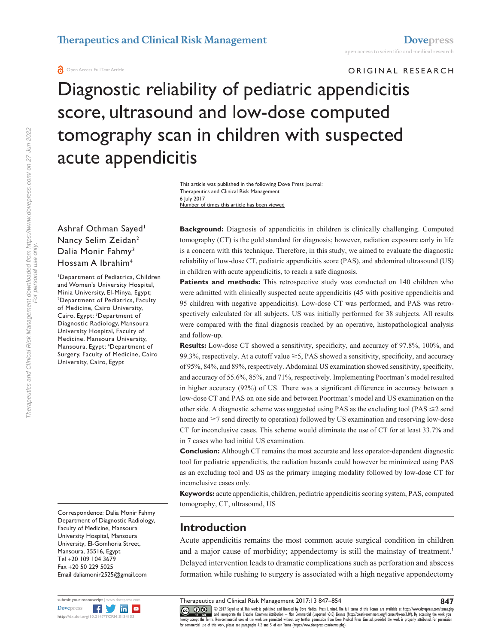**O** Open Access Full Text Article

ORIGINAL RESEARCH

Diagnostic reliability of pediatric appendicitis score, ultrasound and low-dose computed tomography scan in children with suspected acute appendicitis

> Number of times this article has been viewed This article was published in the following Dove Press journal: Therapeutics and Clinical Risk Management 6 July 2017

## Ashraf Othman Sayed<sup>1</sup> Nancy Selim Zeidan2 Dalia Monir Fahmy<sup>3</sup> Hossam A Ibrahim4

1 Department of Pediatrics, Children and Women's University Hospital, Minia University, El-Minya, Egypt; 2 Department of Pediatrics, Faculty of Medicine, Cairo University, Cairo, Egypt; <sup>3</sup>Department of Diagnostic Radiology, Mansoura University Hospital, Faculty of Medicine, Mansoura University, Mansoura, Egypt; 4 Department of Surgery, Faculty of Medicine, Cairo University, Cairo, Egypt

Correspondence: Dalia Monir Fahmy Department of Diagnostic Radiology, Faculty of Medicine, Mansoura University Hospital, Mansoura University, El-Gomhoria Street, Mansoura, 35516, Egypt Tel +20 109 104 3679 Fax +20 50 229 5025 Email [daliamonir2525@gmail.com](mailto:daliamonir2525@gmail.com)



**Background:** Diagnosis of appendicitis in children is clinically challenging. Computed tomography (CT) is the gold standard for diagnosis; however, radiation exposure early in life is a concern with this technique. Therefore, in this study, we aimed to evaluate the diagnostic reliability of low-dose CT, pediatric appendicitis score (PAS), and abdominal ultrasound (US) in children with acute appendicitis, to reach a safe diagnosis.

Patients and methods: This retrospective study was conducted on 140 children who were admitted with clinically suspected acute appendicitis (45 with positive appendicitis and 95 children with negative appendicitis). Low-dose CT was performed, and PAS was retrospectively calculated for all subjects. US was initially performed for 38 subjects. All results were compared with the final diagnosis reached by an operative, histopathological analysis and follow-up.

**Results:** Low-dose CT showed a sensitivity, specificity, and accuracy of 97.8%, 100%, and 99.3%, respectively. At a cutoff value  $\geq$  5, PAS showed a sensitivity, specificity, and accuracy of 95%, 84%, and 89%, respectively. Abdominal US examination showed sensitivity, specificity, and accuracy of 55.6%, 85%, and 71%, respectively. Implementing Poortman's model resulted in higher accuracy (92%) of US. There was a significant difference in accuracy between a low-dose CT and PAS on one side and between Poortman's model and US examination on the other side. A diagnostic scheme was suggested using PAS as the excluding tool (PAS  $\leq$ 2 send home and  $\geq$ 7 send directly to operation) followed by US examination and reserving low-dose CT for inconclusive cases. This scheme would eliminate the use of CT for at least 33.7% and in 7 cases who had initial US examination.

**Conclusion:** Although CT remains the most accurate and less operator-dependent diagnostic tool for pediatric appendicitis, the radiation hazards could however be minimized using PAS as an excluding tool and US as the primary imaging modality followed by low-dose CT for inconclusive cases only.

**Keywords:** acute appendicitis, children, pediatric appendicitis scoring system, PAS, computed tomography, CT, ultrasound, US

# **Introduction**

Acute appendicitis remains the most common acute surgical condition in children and a major cause of morbidity; appendectomy is still the mainstay of treatment.<sup>1</sup> Delayed intervention leads to dramatic complications such as perforation and abscess formation while rushing to surgery is associated with a high negative appendectomy

CC 0 10 S 2017 Sayed et al. This work is published and licensed by Dove Medical Press Limited. The full terms of this license are available at <https://www.dovepress.com/terms.php><br>[hereby accept the Terms](http://www.dovepress.com/permissions.php). Non-commercial use

**847**

Therapeutics and Clinical Risk Management downloaded from https://www.dovepress.com/ on 27-Jun-2022 Therapeutics and Clinical Risk Management downloaded from https://www.dovepress.com/ on 27-Jun-2022 For personal use only. For personal use only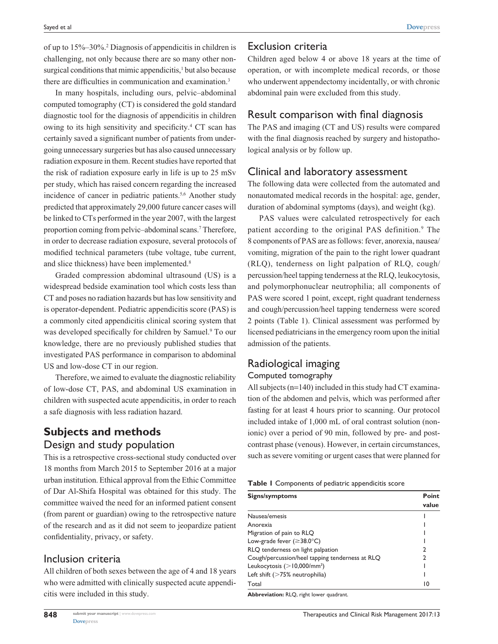of up to 15%–30%.2 Diagnosis of appendicitis in children is challenging, not only because there are so many other nonsurgical conditions that mimic appendicitis,<sup>1</sup> but also because there are difficulties in communication and examination.<sup>3</sup>

In many hospitals, including ours, pelvic–abdominal computed tomography (CT) is considered the gold standard diagnostic tool for the diagnosis of appendicitis in children owing to its high sensitivity and specificity.4 CT scan has certainly saved a significant number of patients from undergoing unnecessary surgeries but has also caused unnecessary radiation exposure in them. Recent studies have reported that the risk of radiation exposure early in life is up to 25 mSv per study, which has raised concern regarding the increased incidence of cancer in pediatric patients.<sup>5,6</sup> Another study predicted that approximately 29,000 future cancer cases will be linked to CTs performed in the year 2007, with the largest proportion coming from pelvic-abdominal scans.<sup>7</sup> Therefore, in order to decrease radiation exposure, several protocols of modified technical parameters (tube voltage, tube current, and slice thickness) have been implemented.<sup>8</sup>

Graded compression abdominal ultrasound (US) is a widespread bedside examination tool which costs less than CT and poses no radiation hazards but has low sensitivity and is operator-dependent. Pediatric appendicitis score (PAS) is a commonly cited appendicitis clinical scoring system that was developed specifically for children by Samuel.<sup>9</sup> To our knowledge, there are no previously published studies that investigated PAS performance in comparison to abdominal US and low-dose CT in our region.

Therefore, we aimed to evaluate the diagnostic reliability of low-dose CT, PAS, and abdominal US examination in children with suspected acute appendicitis, in order to reach a safe diagnosis with less radiation hazard.

# **Subjects and methods** Design and study population

This is a retrospective cross-sectional study conducted over 18 months from March 2015 to September 2016 at a major urban institution. Ethical approval from the Ethic Committee of Dar Al-Shifa Hospital was obtained for this study. The committee waived the need for an informed patient consent (from parent or guardian) owing to the retrospective nature of the research and as it did not seem to jeopardize patient confidentiality, privacy, or safety.

## Inclusion criteria

**848**

All children of both sexes between the age of 4 and 18 years who were admitted with clinically suspected acute appendicitis were included in this study.

## Exclusion criteria

Children aged below 4 or above 18 years at the time of operation, or with incomplete medical records, or those who underwent appendectomy incidentally, or with chronic abdominal pain were excluded from this study.

## Result comparison with final diagnosis

The PAS and imaging (CT and US) results were compared with the final diagnosis reached by surgery and histopathological analysis or by follow up.

## Clinical and laboratory assessment

The following data were collected from the automated and nonautomated medical records in the hospital: age, gender, duration of abdominal symptoms (days), and weight (kg).

PAS values were calculated retrospectively for each patient according to the original PAS definition.<sup>9</sup> The 8 components of PAS are as follows: fever, anorexia, nausea/ vomiting, migration of the pain to the right lower quadrant (RLQ), tenderness on light palpation of RLQ, cough/ percussion/heel tapping tenderness at the RLQ, leukocytosis, and polymorphonuclear neutrophilia; all components of PAS were scored 1 point, except, right quadrant tenderness and cough/percussion/heel tapping tenderness were scored 2 points (Table 1). Clinical assessment was performed by licensed pediatricians in the emergency room upon the initial admission of the patients.

# Radiological imaging

## Computed tomography

All subjects (n=140) included in this study had CT examination of the abdomen and pelvis, which was performed after fasting for at least 4 hours prior to scanning. Our protocol included intake of 1,000 mL of oral contrast solution (nonionic) over a period of 90 min, followed by pre- and postcontrast phase (venous). However, in certain circumstances, such as severe vomiting or urgent cases that were planned for

| Table I Components of pediatric appendicitis score |  |  |  |
|----------------------------------------------------|--|--|--|
|----------------------------------------------------|--|--|--|

| Signs/symptoms                                  | Point<br>value |  |
|-------------------------------------------------|----------------|--|
| Nausea/emesis                                   |                |  |
| Anorexia                                        |                |  |
| Migration of pain to RLQ                        |                |  |
| Low-grade fever ( $\geq$ 38.0 $^{\circ}$ C)     |                |  |
| RLQ tenderness on light palpation               | າ              |  |
| Cough/percussion/heel tapping tenderness at RLQ | 7              |  |
| Leukocytosis $(>10,000/\text{mm}^3)$            |                |  |
| Left shift $($ >75% neutrophilia)               |                |  |
| Total                                           | 10             |  |

**Abbreviation:** RLQ, right lower quadrant.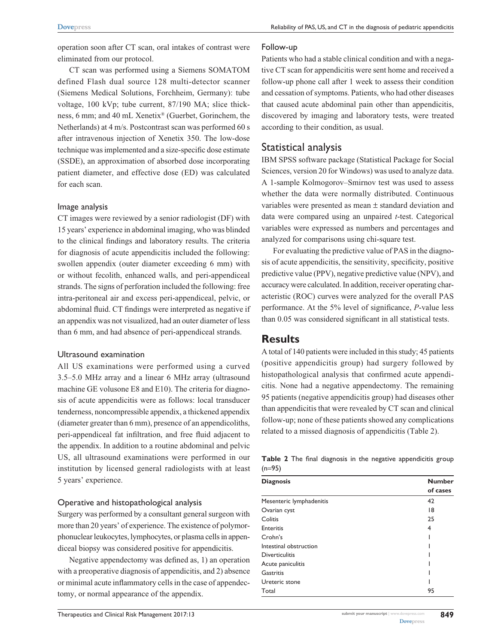operation soon after CT scan, oral intakes of contrast were eliminated from our protocol.

CT scan was performed using a Siemens SOMATOM defined Flash dual source 128 multi-detector scanner (Siemens Medical Solutions, Forchheim, Germany): tube voltage, 100 kVp; tube current, 87/190 MA; slice thickness, 6 mm; and 40 mL Xenetix® (Guerbet, Gorinchem, the Netherlands) at 4 m/s. Postcontrast scan was performed 60 s after intravenous injection of Xenetix 350. The low-dose technique was implemented and a size-specific dose estimate (SSDE), an approximation of absorbed dose incorporating patient diameter, and effective dose (ED) was calculated for each scan.

## Image analysis

CT images were reviewed by a senior radiologist (DF) with 15 years' experience in abdominal imaging, who was blinded to the clinical findings and laboratory results. The criteria for diagnosis of acute appendicitis included the following: swollen appendix (outer diameter exceeding 6 mm) with or without fecolith, enhanced walls, and peri-appendiceal strands. The signs of perforation included the following: free intra-peritoneal air and excess peri-appendiceal, pelvic, or abdominal fluid. CT findings were interpreted as negative if an appendix was not visualized, had an outer diameter of less than 6 mm, and had absence of peri-appendiceal strands.

## Ultrasound examination

All US examinations were performed using a curved 3.5–5.0 MHz array and a linear 6 MHz array (ultrasound machine GE volusone E8 and E10). The criteria for diagnosis of acute appendicitis were as follows: local transducer tenderness, noncompressible appendix, a thickened appendix (diameter greater than 6 mm), presence of an appendicoliths, peri-appendiceal fat infiltration, and free fluid adjacent to the appendix. In addition to a routine abdominal and pelvic US, all ultrasound examinations were performed in our institution by licensed general radiologists with at least 5 years' experience.

## Operative and histopathological analysis

Surgery was performed by a consultant general surgeon with more than 20 years' of experience. The existence of polymorphonuclear leukocytes, lymphocytes, or plasma cells in appendiceal biopsy was considered positive for appendicitis.

Negative appendectomy was defined as, 1) an operation with a preoperative diagnosis of appendicitis, and 2) absence or minimal acute inflammatory cells in the case of appendectomy, or normal appearance of the appendix.

#### Follow-up

Patients who had a stable clinical condition and with a negative CT scan for appendicitis were sent home and received a follow-up phone call after 1 week to assess their condition and cessation of symptoms. Patients, who had other diseases that caused acute abdominal pain other than appendicitis, discovered by imaging and laboratory tests, were treated according to their condition, as usual.

## Statistical analysis

IBM SPSS software package (Statistical Package for Social Sciences, version 20 for Windows) was used to analyze data. A 1-sample Kolmogorov–Smirnov test was used to assess whether the data were normally distributed. Continuous variables were presented as mean ± standard deviation and data were compared using an unpaired *t*-test. Categorical variables were expressed as numbers and percentages and analyzed for comparisons using chi-square test.

For evaluating the predictive value of PAS in the diagnosis of acute appendicitis, the sensitivity, specificity, positive predictive value (PPV), negative predictive value (NPV), and accuracy were calculated. In addition, receiver operating characteristic (ROC) curves were analyzed for the overall PAS performance. At the 5% level of significance, *P*-value less than 0.05 was considered significant in all statistical tests.

## **Results**

A total of 140 patients were included in this study; 45 patients (positive appendicitis group) had surgery followed by histopathological analysis that confirmed acute appendicitis. None had a negative appendectomy. The remaining 95 patients (negative appendicitis group) had diseases other than appendicitis that were revealed by CT scan and clinical follow-up; none of these patients showed any complications related to a missed diagnosis of appendicitis (Table 2).

|          |  |  |  | Table 2 The final diagnosis in the negative appendicitis group |  |
|----------|--|--|--|----------------------------------------------------------------|--|
| $(n=95)$ |  |  |  |                                                                |  |

| <b>Diagnosis</b>         | <b>Number</b> |  |  |
|--------------------------|---------------|--|--|
|                          | of cases      |  |  |
| Mesenteric lymphadenitis | 42            |  |  |
| Ovarian cyst             | 18            |  |  |
| Colitis                  | 25            |  |  |
| <b>Enteritis</b>         | 4             |  |  |
| Crohn's                  |               |  |  |
| Intestinal obstruction   |               |  |  |
| <b>Diverticulitis</b>    |               |  |  |
| Acute paniculitis        |               |  |  |
| Gastritis                |               |  |  |
| Ureteric stone           |               |  |  |
| Total                    | 95            |  |  |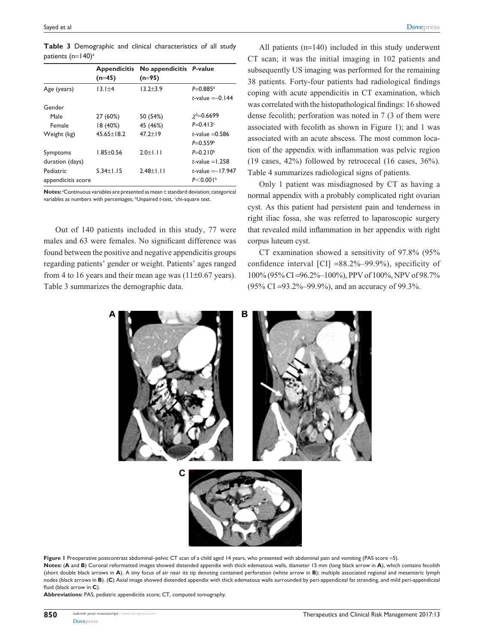**Table 3** Demographic and clinical characteristics of all study patients (n=140)<sup>a</sup>

|                                 | <b>Appendicitis</b><br>$(n=45)$ | No appendicitis P-value<br>$(n=95)$ |                                                |
|---------------------------------|---------------------------------|-------------------------------------|------------------------------------------------|
| Age (years)                     | $13.1 \pm 4$                    | $13.2 + 3.9$                        | $P = 0.885b$<br><i>t</i> -value $=-0.144$      |
| Gender                          |                                 |                                     |                                                |
| Male                            | 27 (60%)                        | 50 (54%)                            | $\chi^2 = 0.6699$                              |
| Female                          | 18 (40%)                        | 45 (46%)                            | $P = 0.413c$                                   |
| Weight (kg)                     | $45.65 \pm 18.2$                | $47.2 + 19$                         | $t$ -value $=$ 0.586<br>$P = 0.559b$           |
| Symptoms<br>duration (days)     | $1.85 + 0.56$                   | $2.0 + 1.11$                        | $P=0.210b$<br>t-value $=1.258$                 |
| Pediatric<br>appendicitis score | $5.34 \pm 1.15$                 | $2.48 + 1.11$                       | t-value $=-17.947$<br>$P < 0.001$ <sup>b</sup> |

Notes: <sup>a</sup>Continuous variables are presented as mean ± standard deviation; categorical variables as numbers with percentages; <sup>b</sup>Unpaired *t*-test, <sup>c</sup>chi-square test.

Out of 140 patients included in this study, 77 were males and 63 were females. No significant difference was found between the positive and negative appendicitis groups regarding patients' gender or weight. Patients' ages ranged from 4 to 16 years and their mean age was  $(11\pm0.67 \text{ years})$ . Table 3 summarizes the demographic data.

All patients (n=140) included in this study underwent CT scan; it was the initial imaging in 102 patients and subsequently US imaging was performed for the remaining 38 patients. Forty-four patients had radiological findings coping with acute appendicitis in CT examination, which was correlated with the histopathological findings: 16 showed dense fecolith; perforation was noted in 7 (3 of them were associated with fecolith as shown in Figure 1); and 1 was associated with an acute abscess. The most common location of the appendix with inflammation was pelvic region (19 cases, 42%) followed by retrocecal (16 cases, 36%). Table 4 summarizes radiological signs of patients.

Only 1 patient was misdiagnosed by CT as having a normal appendix with a probably complicated right ovarian cyst. As this patient had persistent pain and tenderness in right iliac fossa, she was referred to laparoscopic surgery that revealed mild inflammation in her appendix with right corpus luteum cyst.

CT examination showed a sensitivity of 97.8% (95% confidence interval  $\text{[CI]} = 88.2\% - 99.9\%$ , specificity of 100% (95% CI =96.2%–100%), PPV of 100%, NPV of 98.7% (95% CI =93.2%–99.9%), and an accuracy of 99.3%.



Figure I Preoperative postcontrast abdominal-pelvic CT scan of a child aged 14 years, who presented with abdominal pain and vomiting (PAS score =5). **Notes:** (**A** and **B**) Coronal reformatted images showed distended appendix with thick edematous walls, diameter 15 mm (long black arrow in **A**), which contains fecolith (short double black arrows in **A**). A tiny focus of air near its tip denoting contained perforation (white arrow in **B**); multiple associated regional and mesenteric lymph nodes (black arrows in **B**). (**C**) Axial image showed distended appendix with thick edematous walls surrounded by peri-appendiceal fat stranding, and mild peri-appendiceal fluid (black arrow in **C**).

**Abbreviations:** PAS, pediatric appendicitis score; CT, computed tomography.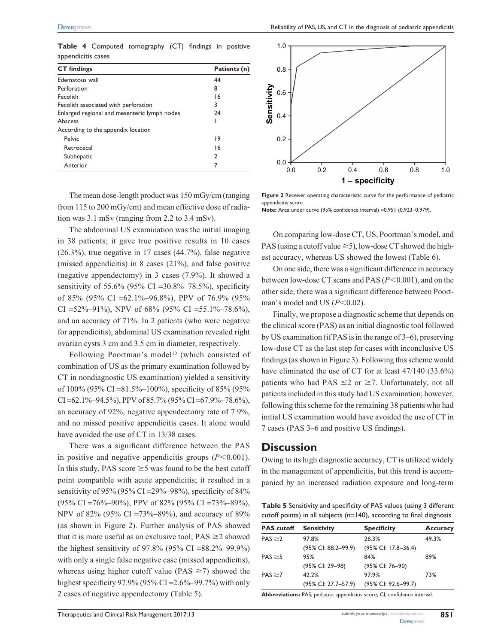**Table 4** Computed tomography (CT) findings in positive appendicitis cases

| <b>CT</b> findings                           | Patients (n) |
|----------------------------------------------|--------------|
| Edematous wall                               | 44           |
| Perforation                                  | 8            |
| Fecolith                                     | 16           |
| Fecolith associated with perforation         | 3            |
| Enlarged regional and mesenteric lymph nodes | 24           |
| Abscess                                      |              |
| According to the appendix location           |              |
| Pelvic                                       | 19           |
| Retrocecal                                   | 16           |
| Subhepatic                                   | 2            |
| Anterior                                     | 7            |

The mean dose-length product was 150 mGy/cm (ranging from 115 to 200 mGy/cm) and mean effective dose of radiation was 3.1 mSv (ranging from 2.2 to 3.4 mSv).

The abdominal US examination was the initial imaging in 38 patients; it gave true positive results in 10 cases (26.3%), true negative in 17 cases (44.7%), false negative (missed appendicitis) in 8 cases (21%), and false positive (negative appendectomy) in 3 cases (7.9%). It showed a sensitivity of 55.6% (95% CI = 30.8%–78.5%), specificity of 85% (95% CI = 62.1%–96.8%), PPV of 76.9% (95%) CI =  $52\% - 91\%$ ), NPV of 68% (95% CI =  $55.1\% - 78.6\%$ ), and an accuracy of 71%. In 2 patients (who were negative for appendicitis), abdominal US examination revealed right ovarian cysts 3 cm and 3.5 cm in diameter, respectively.

Following Poortman's model<sup>10</sup> (which consisted of combination of US as the primary examination followed by CT in nondiagnostic US examination) yielded a sensitivity of 100% (95% CI =81.5%–100%), specificity of 85% (95%  $CI = 62.1\% - 94.5\%$ , PPV of 85.7% (95% CI = 67.9% – 78.6%), an accuracy of 92%, negative appendectomy rate of 7.9%, and no missed positive appendicitis cases. It alone would have avoided the use of CT in 13/38 cases.

There was a significant difference between the PAS in positive and negative appendicitis groups  $(P<0.001)$ . In this study, PAS score  $\geq$  5 was found to be the best cutoff point compatible with acute appendicitis; it resulted in a sensitivity of 95% (95% CI = 29%–98%), specificity of 84% (95% CI =76%–90%), PPV of 82% (95% CI =73%–89%), NPV of 82% (95% CI =73%–89%), and accuracy of 89% (as shown in Figure 2). Further analysis of PAS showed that it is more useful as an exclusive tool;  $PAS \geq 2$  showed the highest sensitivity of 97.8% (95% CI =88.2%–99.9%) with only a single false negative case (missed appendicitis), whereas using higher cutoff value (PAS  $\geq$ 7) showed the highest specificity 97.9% (95% CI = 2.6%–99.7%) with only 2 cases of negative appendectomy (Table 5).



**Figure 2** Receiver operating characteristic curve for the performance of pediatric appendicitis score. **Note:** Area under curve (95% confidence interval) =0.951 (0.923–0.979).

On comparing low-dose CT, US, Poortman's model, and PAS (using a cutoff value  $\geq$  5), low-dose CT showed the highest accuracy, whereas US showed the lowest (Table 6).

On one side, there was a significant difference in accuracy between low-dose CT scans and PAS ( $P$ <0.001), and on the other side, there was a significant difference between Poortman's model and US  $(P<0.02)$ .

Finally, we propose a diagnostic scheme that depends on the clinical score (PAS) as an initial diagnostic tool followed by US examination (if PAS is in the range of 3–6), preserving low-dose CT as the last step for cases with inconclusive US findings (as shown in Figure 3). Following this scheme would have eliminated the use of CT for at least 47/140 (33.6%) patients who had PAS  $\leq$  2 or  $\geq$  7. Unfortunately, not all patients included in this study had US examination; however, following this scheme for the remaining 38 patients who had initial US examination would have avoided the use of CT in 7 cases (PAS 3–6 and positive US findings).

## **Discussion**

Owing to its high diagnostic accuracy, CT is utilized widely in the management of appendicitis, but this trend is accompanied by an increased radiation exposure and long-term

**Table 5** Sensitivity and specificity of PAS values (using 3 different cutoff points) in all subjects (n=140), according to final diagnosis

| <b>PAS</b> cutoff | <b>Sensitivity</b>     | <b>Specificity</b>  | <b>Accuracy</b> |
|-------------------|------------------------|---------------------|-----------------|
| $PAS \ge 2$       | 97.8%                  | 26.3%               | 49.3%           |
|                   | $(95\%$ CI: 88.2-99.9) | (95% CI: 17.8–36.4) |                 |
| $PAS \geq 5$      | 95%                    | 84%                 | 89%             |
|                   | (95% CI: 29–98)        | (95% CI: 76-90)     |                 |
| $PAS \ge 7$       | 42.2%                  | 97.9%               | 73%             |
|                   | (95% CI: 27.7–57.9)    | (95% CI: 92.6-99.7) |                 |

**Abbreviations:** PAS, pediatric appendicitis score; CI, confidence interval.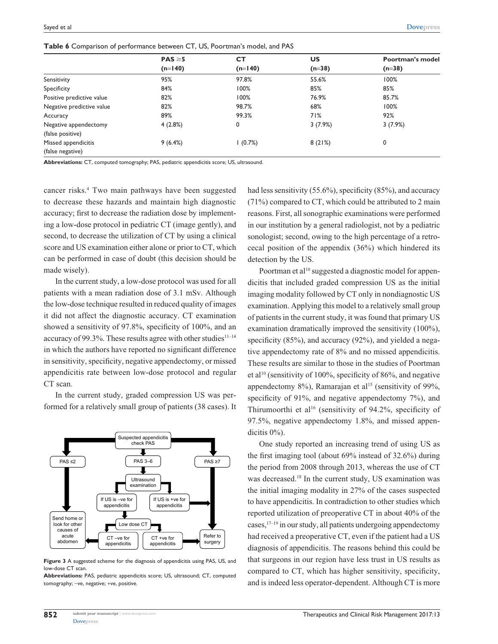|  |  |  |  |  | <b>Table 6</b> Comparison of performance between CT, US, Poortman's model, and PAS |  |
|--|--|--|--|--|------------------------------------------------------------------------------------|--|
|--|--|--|--|--|------------------------------------------------------------------------------------|--|

|                           | $PAS \geq 5$ | CТ        | US       | Poortman's model |  |
|---------------------------|--------------|-----------|----------|------------------|--|
|                           | $(n=140)$    | $(n=140)$ | $(n=38)$ | $(n=38)$         |  |
| Sensitivity               | 95%          | 97.8%     | 55.6%    | 100%             |  |
| Specificity               | 84%          | 100%      | 85%      | 85%              |  |
| Positive predictive value | 82%          | 100%      | 76.9%    | 85.7%            |  |
| Negative predictive value | 82%          | 98.7%     | 68%      | 100%             |  |
| Accuracy                  | 89%          | 99.3%     | 71%      | 92%              |  |
| Negative appendectomy     | 4(2.8%)      | 0         | 3(7.9%)  | 3(7.9%)          |  |
| (false positive)          |              |           |          |                  |  |
| Missed appendicitis       | 9(6.4%)      | (0.7%)    | 8(21%)   | 0                |  |
| (false negative)          |              |           |          |                  |  |

**Abbreviations:** CT, computed tomography; PAS, pediatric appendicitis score; US, ultrasound.

cancer risks.4 Two main pathways have been suggested to decrease these hazards and maintain high diagnostic accuracy; first to decrease the radiation dose by implementing a low-dose protocol in pediatric CT (image gently), and second, to decrease the utilization of CT by using a clinical score and US examination either alone or prior to CT, which can be performed in case of doubt (this decision should be made wisely).

In the current study, a low-dose protocol was used for all patients with a mean radiation dose of 3.1 mSv. Although the low-dose technique resulted in reduced quality of images it did not affect the diagnostic accuracy. CT examination showed a sensitivity of 97.8%, specificity of 100%, and an accuracy of 99.3%. These results agree with other studies $11-14$ in which the authors have reported no significant difference in sensitivity, specificity, negative appendectomy, or missed appendicitis rate between low-dose protocol and regular CT scan.

In the current study, graded compression US was performed for a relatively small group of patients (38 cases). It



**Figure 3** A suggested scheme for the diagnosis of appendicitis using PAS, US, and low-dose CT scan.

**Abbreviations:** PAS, pediatric appendicitis score; US, ultrasound; CT, computed tomography; -ve, negative; +ve, positive.

had less sensitivity (55.6%), specificity (85%), and accuracy (71%) compared to CT, which could be attributed to 2 main reasons. First, all sonographic examinations were performed in our institution by a general radiologist, not by a pediatric sonologist; second, owing to the high percentage of a retrocecal position of the appendix (36%) which hindered its detection by the US.

Poortman et al<sup>10</sup> suggested a diagnostic model for appendicitis that included graded compression US as the initial imaging modality followed by CT only in nondiagnostic US examination. Applying this model to a relatively small group of patients in the current study, it was found that primary US examination dramatically improved the sensitivity (100%), specificity (85%), and accuracy (92%), and yielded a negative appendectomy rate of 8% and no missed appendicitis. These results are similar to those in the studies of Poortman et al10 (sensitivity of 100%, specificity of 86%, and negative appendectomy  $8\%$ ), Ramarajan et al<sup>15</sup> (sensitivity of 99%, specificity of 91%, and negative appendectomy 7%), and Thirumoorthi et al<sup>16</sup> (sensitivity of 94.2%, specificity of 97.5%, negative appendectomy 1.8%, and missed appendicitis 0%).

One study reported an increasing trend of using US as the first imaging tool (about 69% instead of 32.6%) during the period from 2008 through 2013, whereas the use of CT was decreased.18 In the current study, US examination was the initial imaging modality in 27% of the cases suspected to have appendicitis. In contradiction to other studies which reported utilization of preoperative CT in about 40% of the cases,  $17-19$  in our study, all patients undergoing appendectomy had received a preoperative CT, even if the patient had a US diagnosis of appendicitis. The reasons behind this could be that surgeons in our region have less trust in US results as compared to CT, which has higher sensitivity, specificity, and is indeed less operator-dependent. Although CT is more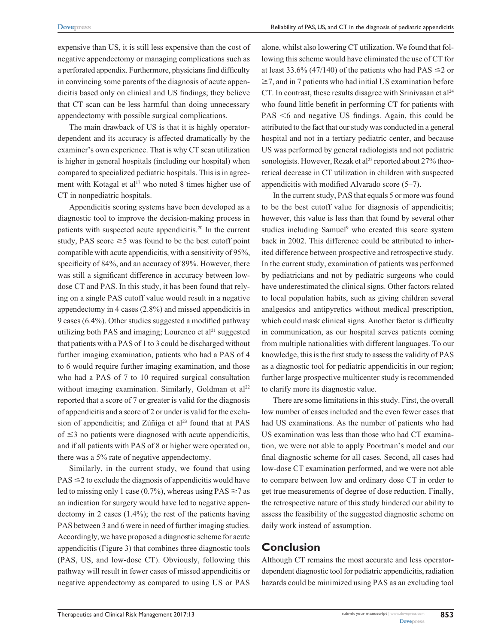expensive than US, it is still less expensive than the cost of negative appendectomy or managing complications such as a perforated appendix. Furthermore, physicians find difficulty in convincing some parents of the diagnosis of acute appendicitis based only on clinical and US findings; they believe that CT scan can be less harmful than doing unnecessary appendectomy with possible surgical complications.

The main drawback of US is that it is highly operatordependent and its accuracy is affected dramatically by the examiner's own experience. That is why CT scan utilization is higher in general hospitals (including our hospital) when compared to specialized pediatric hospitals. This is in agreement with Kotagal et al<sup>17</sup> who noted 8 times higher use of CT in nonpediatric hospitals.

Appendicitis scoring systems have been developed as a diagnostic tool to improve the decision-making process in patients with suspected acute appendicitis.20 In the current study, PAS score  $\geq$ 5 was found to be the best cutoff point compatible with acute appendicitis, with a sensitivity of 95%, specificity of 84%, and an accuracy of 89%. However, there was still a significant difference in accuracy between lowdose CT and PAS. In this study, it has been found that relying on a single PAS cutoff value would result in a negative appendectomy in 4 cases (2.8%) and missed appendicitis in 9 cases (6.4%). Other studies suggested a modified pathway utilizing both PAS and imaging; Lourenco et  $al<sup>21</sup>$  suggested that patients with a PAS of 1 to 3 could be discharged without further imaging examination, patients who had a PAS of 4 to 6 would require further imaging examination, and those who had a PAS of 7 to 10 required surgical consultation without imaging examination. Similarly, Goldman et  $a^{22}$ reported that a score of 7 or greater is valid for the diagnosis of appendicitis and a score of 2 or under is valid for the exclusion of appendicitis; and Zúñiga et al $^{23}$  found that at PAS of  $\leq$ 3 no patients were diagnosed with acute appendicitis, and if all patients with PAS of 8 or higher were operated on, there was a 5% rate of negative appendectomy.

Similarly, in the current study, we found that using  $PAS \leq 2$  to exclude the diagnosis of appendicitis would have led to missing only 1 case (0.7%), whereas using  $PAS \ge 7$  as an indication for surgery would have led to negative appendectomy in 2 cases (1.4%); the rest of the patients having PAS between 3 and 6 were in need of further imaging studies. Accordingly, we have proposed a diagnostic scheme for acute appendicitis (Figure 3) that combines three diagnostic tools (PAS, US, and low-dose CT). Obviously, following this pathway will result in fewer cases of missed appendicitis or negative appendectomy as compared to using US or PAS

alone, whilst also lowering CT utilization. We found that following this scheme would have eliminated the use of CT for at least 33.6% (47/140) of the patients who had PAS  $\leq$  2 or  $\geq$  7, and in 7 patients who had initial US examination before CT. In contrast, these results disagree with Srinivasan et al<sup>24</sup> who found little benefit in performing CT for patients with  $PAS \leq 6$  and negative US findings. Again, this could be attributed to the fact that our study was conducted in a general hospital and not in a tertiary pediatric center, and because US was performed by general radiologists and not pediatric sonologists. However, Rezak et al<sup>25</sup> reported about 27% theoretical decrease in CT utilization in children with suspected appendicitis with modified Alvarado score (5–7).

In the current study, PAS that equals 5 or more was found to be the best cutoff value for diagnosis of appendicitis; however, this value is less than that found by several other studies including Samuel<sup>9</sup> who created this score system back in 2002. This difference could be attributed to inherited difference between prospective and retrospective study. In the current study, examination of patients was performed by pediatricians and not by pediatric surgeons who could have underestimated the clinical signs. Other factors related to local population habits, such as giving children several analgesics and antipyretics without medical prescription, which could mask clinical signs. Another factor is difficulty in communication, as our hospital serves patients coming from multiple nationalities with different languages. To our knowledge, this is the first study to assess the validity of PAS as a diagnostic tool for pediatric appendicitis in our region; further large prospective multicenter study is recommended to clarify more its diagnostic value.

There are some limitations in this study. First, the overall low number of cases included and the even fewer cases that had US examinations. As the number of patients who had US examination was less than those who had CT examination, we were not able to apply Poortman's model and our final diagnostic scheme for all cases. Second, all cases had low-dose CT examination performed, and we were not able to compare between low and ordinary dose CT in order to get true measurements of degree of dose reduction. Finally, the retrospective nature of this study hindered our ability to assess the feasibility of the suggested diagnostic scheme on daily work instead of assumption.

## **Conclusion**

Although CT remains the most accurate and less operatordependent diagnostic tool for pediatric appendicitis, radiation hazards could be minimized using PAS as an excluding tool